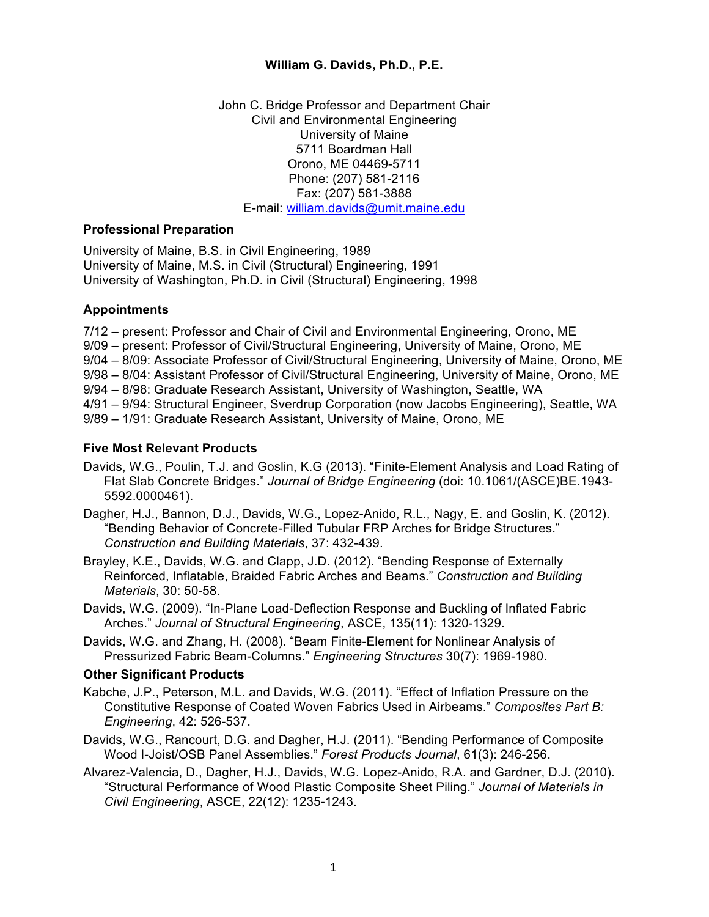### **William G. Davids, Ph.D., P.E.**

John C. Bridge Professor and Department Chair Civil and Environmental Engineering University of Maine 5711 Boardman Hall Orono, ME 04469-5711 Phone: (207) 581-2116 Fax: (207) 581-3888 E-mail: william.davids@umit.maine.edu

#### **Professional Preparation**

University of Maine, B.S. in Civil Engineering, 1989 University of Maine, M.S. in Civil (Structural) Engineering, 1991 University of Washington, Ph.D. in Civil (Structural) Engineering, 1998

# **Appointments**

7/12 – present: Professor and Chair of Civil and Environmental Engineering, Orono, ME 9/09 – present: Professor of Civil/Structural Engineering, University of Maine, Orono, ME 9/04 – 8/09: Associate Professor of Civil/Structural Engineering, University of Maine, Orono, ME 9/98 – 8/04: Assistant Professor of Civil/Structural Engineering, University of Maine, Orono, ME 9/94 – 8/98: Graduate Research Assistant, University of Washington, Seattle, WA 4/91 – 9/94: Structural Engineer, Sverdrup Corporation (now Jacobs Engineering), Seattle, WA 9/89 – 1/91: Graduate Research Assistant, University of Maine, Orono, ME

# **Five Most Relevant Products**

- Davids, W.G., Poulin, T.J. and Goslin, K.G (2013). "Finite-Element Analysis and Load Rating of Flat Slab Concrete Bridges." *Journal of Bridge Engineering* (doi: 10.1061/(ASCE)BE.1943- 5592.0000461).
- Dagher, H.J., Bannon, D.J., Davids, W.G., Lopez-Anido, R.L., Nagy, E. and Goslin, K. (2012). "Bending Behavior of Concrete-Filled Tubular FRP Arches for Bridge Structures." *Construction and Building Materials*, 37: 432-439.
- Brayley, K.E., Davids, W.G. and Clapp, J.D. (2012). "Bending Response of Externally Reinforced, Inflatable, Braided Fabric Arches and Beams." *Construction and Building Materials*, 30: 50-58.
- Davids, W.G. (2009). "In-Plane Load-Deflection Response and Buckling of Inflated Fabric Arches." *Journal of Structural Engineering*, ASCE, 135(11): 1320-1329.
- Davids, W.G. and Zhang, H. (2008). "Beam Finite-Element for Nonlinear Analysis of Pressurized Fabric Beam-Columns." *Engineering Structures* 30(7): 1969-1980.

# **Other Significant Products**

- Kabche, J.P., Peterson, M.L. and Davids, W.G. (2011). "Effect of Inflation Pressure on the Constitutive Response of Coated Woven Fabrics Used in Airbeams." *Composites Part B: Engineering*, 42: 526-537.
- Davids, W.G., Rancourt, D.G. and Dagher, H.J. (2011). "Bending Performance of Composite Wood I-Joist/OSB Panel Assemblies." *Forest Products Journal*, 61(3): 246-256.
- Alvarez-Valencia, D., Dagher, H.J., Davids, W.G. Lopez-Anido, R.A. and Gardner, D.J. (2010). "Structural Performance of Wood Plastic Composite Sheet Piling." *Journal of Materials in Civil Engineering*, ASCE, 22(12): 1235-1243.